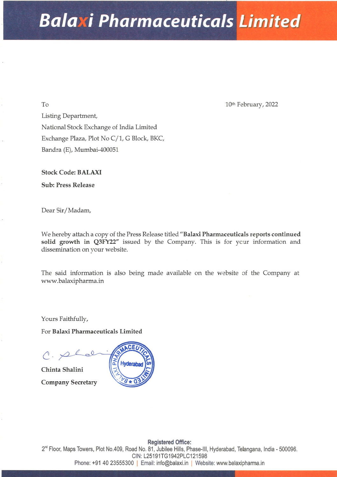# **Balaxi Pharmaceuticals Limited**

To 10th February, 2022

Listing Department, National Stock Exchange of India Limited Exchange Plaza, Plot No C/1, G Block, BKC, Bandra (E), Mumbai-400051

Stock Code: BALAXI

Sub: Press Release

Dear Sir/Madam,

We hereby attach a copy of the Press Release titled "Balaxi Pharmaceuticals reports continued solid growth in Q3FY22" issued by the Company. This is for your information and dissemination on your website.

The said information is also being made available on the website of the Company at www.balaxipharma.in

Yours Faithfully,

For Balaxi Pharmaceuticals Limited

Chinta Shalini Company Secretary



Bandra (E), Mumbai-400051<br>
Stock Code: BALAXI<br>
Sub: Press Release<br>
Dear Sir/Madam,<br>
We hereby attach a copy of the Press Release tive sided growth in Q3FY22" issued by the C<br>
dissemination on your website.<br>
The said infor Registered Office: 2<sup>nd</sup> Floor, Maps Towers, Plot No.409, Road No. 81, Jubilee Hills, Phase-III, Hyderabad, Telangana, India - 500096. CIN: L25191TG1942PLC121598 **Balaxie Pharmaceuticals Constrained**<br>
To Telescopy<br>
Listing Department<br>
Listing Department<br>
Listing Department<br>
Ecology Place For Exchange of India Limited<br>
Ecology Place Fig. 19.1.3.1<br>
Since Cip Recales (2012)<br>
Since Ci Phone: +91 40 23555300 | Email: info@balaxi.in | Website: www.balaxipharma.in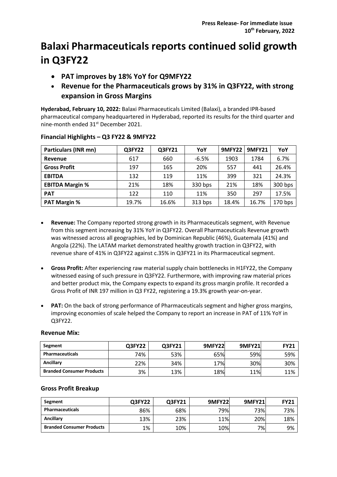# **Balaxi Pharmaceuticals reports continued solid growth in Q3FY22**

- **PAT improves by 18% YoY for Q9MFY22**
- **Revenue for the Pharmaceuticals grows by 31% in Q3FY22, with strong expansion in Gross Margins**

**Hyderabad, February 10, 2022:** Balaxi Pharmaceuticals Limited (Balaxi), a branded IPR-based pharmaceutical company headquartered in Hyderabad, reported its results for the third quarter and nine-month ended 31st December 2021.

| <b>Particulars (INR mn)</b> | Q3FY22 | Q3FY21 | YoY       | <b>9MFY22</b> | <b>9MFY21</b> | YoY     |
|-----------------------------|--------|--------|-----------|---------------|---------------|---------|
| Revenue                     | 617    | 660    | $-6.5%$   | 1903          | 1784          | 6.7%    |
| <b>Gross Profit</b>         | 197    | 165    | 20%       | 557           | 441           | 26.4%   |
| <b>EBITDA</b>               | 132    | 119    | 11%       | 399           | 321           | 24.3%   |
| <b>EBITDA Margin %</b>      | 21%    | 18%    | 330 bps   | 21%           | 18%           | 300 bps |
| <b>PAT</b>                  | 122    | 110    | 11%       | 350           | 297           | 17.5%   |
| <b>PAT Margin %</b>         | 19.7%  | 16.6%  | $313$ bps | 18.4%         | 16.7%         | 170 bps |

# **Financial Highlights – Q3 FY22 & 9MFY22**

- **Revenue:** The Company reported strong growth in its Pharmaceuticals segment, with Revenue from this segment increasing by 31% YoY in Q3FY22. Overall Pharmaceuticals Revenue growth was witnessed across all geographies, led by Dominican Republic (46%), Guatemala (41%) and Angola (22%). The LATAM market demonstrated healthy growth traction in Q3FY22, with revenue share of 41% in Q3FY22 against c.35% in Q3FY21 in its Pharmaceutical segment.
- **Gross Profit:** After experiencing raw material supply chain bottlenecks in H1FY22, the Company witnessed easing of such pressure in Q3FY22. Furthermore, with improving raw material prices and better product mix, the Company expects to expand its gross margin profile. It recorded a Gross Profit of INR 197 million in Q3 FY22, registering a 19.3% growth year-on-year.
- **PAT:** On the back of strong performance of Pharmaceuticals segment and higher gross margins, improving economies of scale helped the Company to report an increase in PAT of 11% YoY in Q3FY22.

### **Revenue Mix:**

| Segment                          | Q3FY22 | <b>Q3FY21</b> | 9MFY22 | <b>9MFY21</b> | <b>FY21</b> |
|----------------------------------|--------|---------------|--------|---------------|-------------|
| Pharmaceuticals                  | 74%    | 53%           | 65%    | 59%           | 59%         |
| Ancillary                        | 22%    | 34%           | 17%    | 30%           | 30%         |
| <b>Branded Consumer Products</b> | 3%     | 13%           | 18%    | 11%           | 11%         |

### **Gross Profit Breakup**

| Segment                          | Q3FY22 | <b>O3FY21</b> | <b>9MFY22</b> | <b>9MFY21</b> | <b>FY21</b> |
|----------------------------------|--------|---------------|---------------|---------------|-------------|
| <b>Pharmaceuticals</b>           | 86%    | 68%           | 79%           | 73%           | 73%         |
| Ancillary                        | 13%    | 23%           | 11%           | 20%           | 18%         |
| <b>Branded Consumer Products</b> | 1%     | 10%           | 10%           | 7%            | 9%          |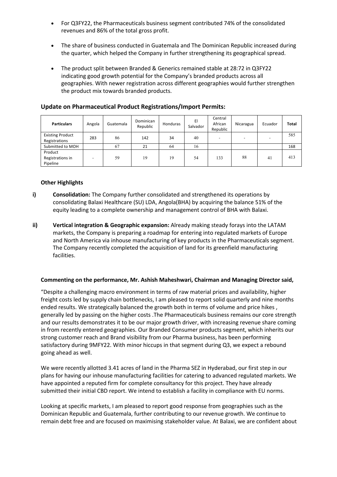- For Q3FY22, the Pharmaceuticals business segment contributed 74% of the consolidated revenues and 86% of the total gross profit.
- The share of business conducted in Guatemala and The Dominican Republic increased during the quarter, which helped the Company in further strengthening its geographical spread.
- The product split between Branded & Generics remained stable at 28:72 in Q3FY22 indicating good growth potential for the Company's branded products across all geographies. With newer registration across different geographies would further strengthen the product mix towards branded products.

| <b>Particulars</b>                       | Angola | Guatemala | Dominican<br>Republic | Honduras | EI<br>Salvador | Central<br>African<br>Republic | Nicaragua | Ecuador | <b>Total</b> |
|------------------------------------------|--------|-----------|-----------------------|----------|----------------|--------------------------------|-----------|---------|--------------|
| <b>Existing Product</b><br>Registrations | 283    | 86        | 142                   | 34       | 40             |                                |           |         | 585          |
| Submitted to MOH                         |        | 67        | 21                    | 64       | 16             |                                |           |         | 168          |
| Product<br>Registrations in<br>Pipeline  |        | 59        | 19                    | 19       | 54             | 133                            | 88        | 41      | 413          |

## **Update on Pharmaceutical Product Registrations/Import Permits:**

#### **Other Highlights**

- **i) Consolidation:** The Company further consolidated and strengthened its operations by consolidating Balaxi Healthcare (SU) LDA, Angola(BHA) by acquiring the balance 51% of the equity leading to a complete ownership and management control of BHA with Balaxi.
- **ii) Vertical integration & Geographic expansion:** Already making steady forays into the LATAM markets, the Company is preparing a roadmap for entering into regulated markets of Europe and North America via inhouse manufacturing of key products in the Pharmaceuticals segment. The Company recently completed the acquisition of land for its greenfield manufacturing facilities.

#### **Commenting on the performance, Mr. Ashish Maheshwari, Chairman and Managing Director said,**

"Despite a challenging macro environment in terms of raw material prices and availability, higher freight costs led by supply chain bottlenecks, I am pleased to report solid quarterly and nine months ended results. We strategically balanced the growth both in terms of volume and price hikes , generally led by passing on the higher costs .The Pharmaceuticals business remains our core strength and our results demonstrates it to be our major growth driver, with increasing revenue share coming in from recently entered geographies. Our Branded Consumer products segment, which inherits our strong customer reach and Brand visibility from our Pharma business, has been performing satisfactory during 9MFY22. With minor hiccups in that segment during Q3, we expect a rebound going ahead as well.

We were recently allotted 3.41 acres of land in the Pharma SEZ in Hyderabad, our first step in our plans for having our inhouse manufacturing facilities for catering to advanced regulated markets. We have appointed a reputed firm for complete consultancy for this project. They have already submitted their initial CBD report. We intend to establish a facility in compliance with EU norms.

Looking at specific markets, I am pleased to report good response from geographies such as the Dominican Republic and Guatemala, further contributing to our revenue growth. We continue to remain debt free and are focused on maximising stakeholder value. At Balaxi, we are confident about